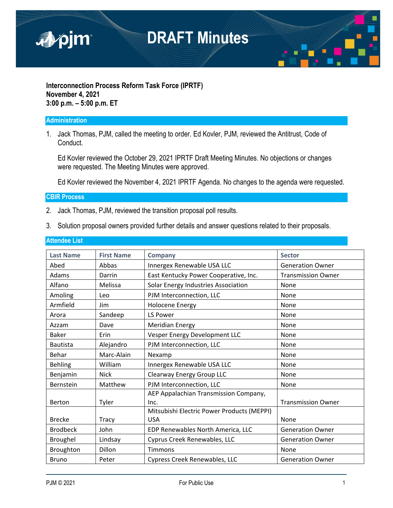

#### **Interconnection Process Reform Task Force (IPRTF) November 4, 2021 3:00 p.m. – 5:00 p.m. ET**

#### **Administration**

1. Jack Thomas, PJM, called the meeting to order. Ed Kovler, PJM, reviewed the Antitrust, Code of Conduct.

Ed Kovler reviewed the October 29, 2021 IPRTF Draft Meeting Minutes. No objections or changes were requested. The Meeting Minutes were approved.

Ed Kovler reviewed the November 4, 2021 IPRTF Agenda. No changes to the agenda were requested.

#### **CBIR Process**

- 2. Jack Thomas, PJM, reviewed the transition proposal poll results.
- 3. Solution proposal owners provided further details and answer questions related to their proposals.

| <b>Last Name</b> | <b>First Name</b> | Company                                    | <b>Sector</b>             |
|------------------|-------------------|--------------------------------------------|---------------------------|
| Abed             | Abbas             | Innergex Renewable USA LLC                 | <b>Generation Owner</b>   |
| Adams            | Darrin            | East Kentucky Power Cooperative, Inc.      | <b>Transmission Owner</b> |
| Alfano           | Melissa           | Solar Energy Industries Association        | None                      |
| Amoling          | Leo               | PJM Interconnection, LLC                   | None                      |
| Armfield         | Jim               | <b>Holocene Energy</b>                     | None                      |
| Arora            | Sandeep           | LS Power                                   | None                      |
| Azzam            | Dave              | <b>Meridian Energy</b>                     | None                      |
| <b>Baker</b>     | Erin              | Vesper Energy Development LLC              | None                      |
| <b>Bautista</b>  | Alejandro         | PJM Interconnection, LLC                   | None                      |
| Behar            | Marc-Alain        | Nexamp                                     | None                      |
| <b>Behling</b>   | William           | Innergex Renewable USA LLC                 | None                      |
| Benjamin         | <b>Nick</b>       | Clearway Energy Group LLC                  | None                      |
| Bernstein        | Matthew           | PJM Interconnection, LLC                   | None                      |
|                  |                   | AEP Appalachian Transmission Company,      |                           |
| Berton           | Tyler             | Inc.                                       | <b>Transmission Owner</b> |
|                  |                   | Mitsubishi Electric Power Products (MEPPI) |                           |
| <b>Brecke</b>    | <b>Tracy</b>      | <b>USA</b>                                 | None                      |
| <b>Brodbeck</b>  | John              | EDP Renewables North America, LLC          | <b>Generation Owner</b>   |
| Broughel         | Lindsay           | Cyprus Creek Renewables, LLC               | <b>Generation Owner</b>   |
| Broughton        | Dillon            | Timmons                                    | None                      |
| <b>Bruno</b>     | Peter             | Cypress Creek Renewables, LLC              | <b>Generation Owner</b>   |

#### **Attendee List**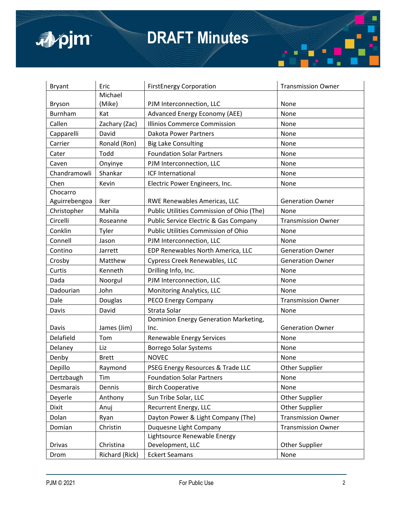

| <b>Bryant</b> | Eric           | <b>FirstEnergy Corporation</b>            | <b>Transmission Owner</b> |
|---------------|----------------|-------------------------------------------|---------------------------|
|               | Michael        |                                           |                           |
| Bryson        | (Mike)         | PJM Interconnection, LLC                  | None                      |
| Burnham       | Kat            | Advanced Energy Economy (AEE)             | None                      |
| Callen        | Zachary (Zac)  | <b>Illinios Commerce Commission</b>       | None                      |
| Capparelli    | David          | <b>Dakota Power Partners</b>              | None                      |
| Carrier       | Ronald (Ron)   | <b>Big Lake Consulting</b>                | None                      |
| Cater         | Todd           | <b>Foundation Solar Partners</b>          | None                      |
| Caven         | Onyinye        | PJM Interconnection, LLC                  | None                      |
| Chandramowli  | Shankar        | ICF International                         | None                      |
| Chen          | Kevin          | Electric Power Engineers, Inc.            | None                      |
| Chocarro      |                |                                           |                           |
| Aguirrebengoa | Iker           | RWE Renewables Americas, LLC              | <b>Generation Owner</b>   |
| Christopher   | Mahila         | Public Utilities Commission of Ohio (The) | None                      |
| Circelli      | Roseanne       | Public Service Electric & Gas Company     | <b>Transmission Owner</b> |
| Conklin       | Tyler          | Public Utilities Commission of Ohio       | None                      |
| Connell       | Jason          | PJM Interconnection, LLC                  | None                      |
| Contino       | Jarrett        | EDP Renewables North America, LLC         | <b>Generation Owner</b>   |
| Crosby        | Matthew        | Cypress Creek Renewables, LLC             | <b>Generation Owner</b>   |
| Curtis        | Kenneth        | Drilling Info, Inc.                       | None                      |
| Dada          | Noorgul        | PJM Interconnection, LLC                  | None                      |
| Dadourian     | John           | Monitoring Analytics, LLC                 | None                      |
| Dale          | Douglas        | PECO Energy Company                       | <b>Transmission Owner</b> |
| Davis         | David          | Strata Solar                              | None                      |
|               |                | Dominion Energy Generation Marketing,     |                           |
| Davis         | James (Jim)    | Inc.                                      | <b>Generation Owner</b>   |
| Delafield     | Tom            | Renewable Energy Services                 | None                      |
| Delaney       | Liz            | Borrego Solar Systems                     | None                      |
| Denby         | <b>Brett</b>   | <b>NOVEC</b>                              | None                      |
| Depillo       | Raymond        | PSEG Energy Resources & Trade LLC         | Other Supplier            |
| Dertzbaugh    | Tim            | <b>Foundation Solar Partners</b>          | None                      |
| Desmarais     | Dennis         | <b>Birch Cooperative</b>                  | None                      |
| Deyerle       | Anthony        | Sun Tribe Solar, LLC                      | Other Supplier            |
| Dixit         | Anuj           | Recurrent Energy, LLC                     | <b>Other Supplier</b>     |
| Dolan         | Ryan           | Dayton Power & Light Company (The)        | <b>Transmission Owner</b> |
| Domian        | Christin       | Duquesne Light Company                    | <b>Transmission Owner</b> |
|               |                | Lightsource Renewable Energy              |                           |
| Drivas        | Christina      | Development, LLC                          | <b>Other Supplier</b>     |
| Drom          | Richard (Rick) | <b>Eckert Seamans</b>                     | None                      |

Г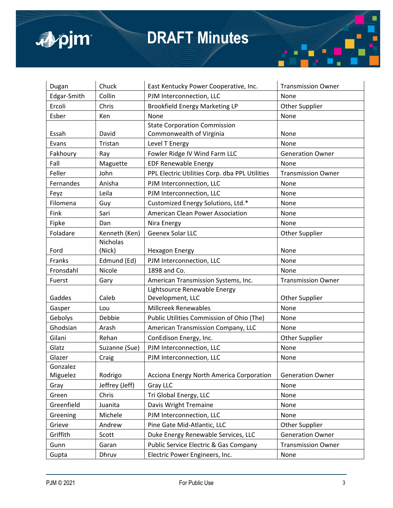

| Dugan       | Chuck           | East Kentucky Power Cooperative, Inc.          | <b>Transmission Owner</b> |
|-------------|-----------------|------------------------------------------------|---------------------------|
| Edgar-Smith | Collin          | PJM Interconnection, LLC                       | None                      |
| Ercoli      | Chris           | <b>Brookfield Energy Marketing LP</b>          | Other Supplier            |
| Esber       | Ken             | None                                           | None                      |
|             |                 | <b>State Corporation Commission</b>            |                           |
| Essah       | David           | Commonwealth of Virginia                       | None                      |
| Evans       | Tristan         | Level T Energy                                 | None                      |
| Fakhoury    | Ray             | Fowler Ridge IV Wind Farm LLC                  | <b>Generation Owner</b>   |
| Fall        | Maguette        | <b>EDF Renewable Energy</b>                    | None                      |
| Feller      | John            | PPL Electric Utilities Corp. dba PPL Utilities | <b>Transmission Owner</b> |
| Fernandes   | Anisha          | PJM Interconnection, LLC                       | None                      |
| Feyz        | Leila           | PJM Interconnection, LLC                       | None                      |
| Filomena    | Guy             | Customized Energy Solutions, Ltd.*             | None                      |
| Fink        | Sari            | American Clean Power Association               | None                      |
| Fipke       | Dan             | Nira Energy                                    | None                      |
| Foladare    | Kenneth (Ken)   | Geenex Solar LLC                               | Other Supplier            |
|             | <b>Nicholas</b> |                                                |                           |
| Ford        | (Nick)          | <b>Hexagon Energy</b>                          | None                      |
| Franks      | Edmund (Ed)     | PJM Interconnection, LLC                       | None                      |
| Fronsdahl   | Nicole          | 1898 and Co.                                   | None                      |
| Fuerst      | Gary            | American Transmission Systems, Inc.            | <b>Transmission Owner</b> |
|             |                 | Lightsource Renewable Energy                   |                           |
| Gaddes      | Caleb           | Development, LLC                               | <b>Other Supplier</b>     |
| Gasper      | Lou             | <b>Millcreek Renewables</b>                    | None                      |
| Gebolys     | Debbie          | Public Utilities Commission of Ohio (The)      | None                      |
| Ghodsian    | Arash           | American Transmission Company, LLC             | None                      |
| Gilani      | Rehan           | ConEdison Energy, Inc.                         | <b>Other Supplier</b>     |
| Glatz       | Suzanne (Sue)   | PJM Interconnection, LLC                       | None                      |
| Glazer      | Craig           | PJM Interconnection, LLC                       | None                      |
| Gonzalez    |                 |                                                |                           |
| Miguelez    | Rodrigo         | Acciona Energy North America Corporation       | <b>Generation Owner</b>   |
| Gray        | Jeffrey (Jeff)  | <b>Gray LLC</b>                                | None                      |
| Green       | Chris           | Tri Global Energy, LLC                         | None                      |
| Greenfield  | Juanita         | Davis Wright Tremaine                          | None                      |
| Greening    | Michele         | PJM Interconnection, LLC                       | None                      |
| Grieve      | Andrew          | Pine Gate Mid-Atlantic, LLC                    | <b>Other Supplier</b>     |
| Griffith    | Scott           | Duke Energy Renewable Services, LLC            | <b>Generation Owner</b>   |
| Gunn        | Garan           | Public Service Electric & Gas Company          | <b>Transmission Owner</b> |
| Gupta       | Dhruv           | Electric Power Engineers, Inc.                 | None                      |

Г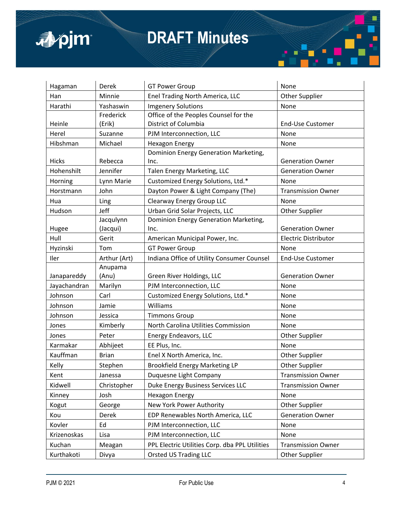

| Hagaman      | Derek        | <b>GT Power Group</b>                          | None                        |
|--------------|--------------|------------------------------------------------|-----------------------------|
| Han          | Minnie       | Enel Trading North America, LLC                | <b>Other Supplier</b>       |
| Harathi      | Yashaswin    | <b>Imgenery Solutions</b>                      | None                        |
|              | Frederick    | Office of the Peoples Counsel for the          |                             |
| Heinle       | (Erik)       | District of Columbia                           | End-Use Customer            |
| Herel        | Suzanne      | PJM Interconnection, LLC                       | None                        |
| Hibshman     | Michael      | <b>Hexagon Energy</b>                          | None                        |
|              |              | Dominion Energy Generation Marketing,          |                             |
| <b>Hicks</b> | Rebecca      | Inc.                                           | <b>Generation Owner</b>     |
| Hohenshilt   | Jennifer     | Talen Energy Marketing, LLC                    | <b>Generation Owner</b>     |
| Horning      | Lynn Marie   | Customized Energy Solutions, Ltd.*             | None                        |
| Horstmann    | John         | Dayton Power & Light Company (The)             | <b>Transmission Owner</b>   |
| Hua          | Ling         | Clearway Energy Group LLC                      | None                        |
| Hudson       | Jeff         | Urban Grid Solar Projects, LLC                 | Other Supplier              |
|              | Jacqulynn    | Dominion Energy Generation Marketing,          |                             |
| Hugee        | (Jacqui)     | Inc.                                           | <b>Generation Owner</b>     |
| Hull         | Gerit        | American Municipal Power, Inc.                 | <b>Electric Distributor</b> |
| Hyzinski     | Tom          | <b>GT Power Group</b>                          | None                        |
| Iler         | Arthur (Art) | Indiana Office of Utility Consumer Counsel     | End-Use Customer            |
|              | Anupama      |                                                |                             |
| Janapareddy  | (Anu)        | Green River Holdings, LLC                      | <b>Generation Owner</b>     |
| Jayachandran | Marilyn      | PJM Interconnection, LLC                       | None                        |
| Johnson      | Carl         | Customized Energy Solutions, Ltd.*             | None                        |
| Johnson      | Jamie        | Williams                                       | None                        |
| Johnson      | Jessica      | <b>Timmons Group</b>                           | None                        |
| Jones        | Kimberly     | North Carolina Utilities Commission            | None                        |
| Jones        | Peter        | Energy Endeavors, LLC                          | <b>Other Supplier</b>       |
| Karmakar     | Abhijeet     | EE Plus, Inc.                                  | None                        |
| Kauffman     | <b>Brian</b> | Enel X North America, Inc.                     | Other Supplier              |
| Kelly        | Stephen      | <b>Brookfield Energy Marketing LP</b>          | <b>Other Supplier</b>       |
| Kent         | Janessa      | Duquesne Light Company                         | <b>Transmission Owner</b>   |
| Kidwell      | Christopher  | Duke Energy Business Services LLC              | <b>Transmission Owner</b>   |
| Kinney       | Josh         | <b>Hexagon Energy</b>                          | None                        |
| Kogut        | George       | New York Power Authority                       | Other Supplier              |
| Kou          | Derek        | EDP Renewables North America, LLC              | <b>Generation Owner</b>     |
| Kovler       | Ed           | PJM Interconnection, LLC                       | None                        |
| Krizenoskas  |              |                                                |                             |
|              | Lisa         | PJM Interconnection, LLC                       | None                        |
| Kuchan       | Meagan       | PPL Electric Utilities Corp. dba PPL Utilities | <b>Transmission Owner</b>   |

Г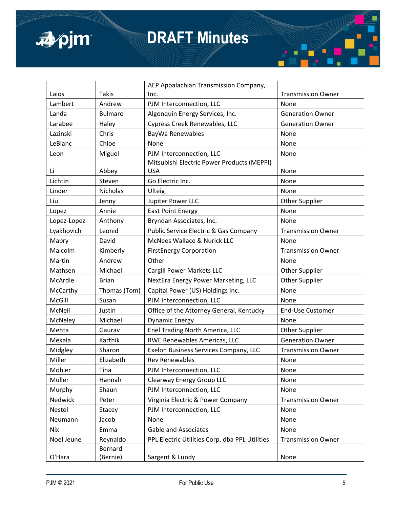

|    |            | <b>COL</b> |  |
|----|------------|------------|--|
| П  | œ          |            |  |
| L. | <u>and</u> |            |  |

|             |                | AEP Appalachian Transmission Company,                    |                           |
|-------------|----------------|----------------------------------------------------------|---------------------------|
| Laios       | <b>Takis</b>   | Inc.                                                     | <b>Transmission Owner</b> |
| Lambert     | Andrew         | PJM Interconnection, LLC                                 | None                      |
| Landa       | <b>Bulmaro</b> | Algonquin Energy Services, Inc.                          | <b>Generation Owner</b>   |
| Larabee     | Haley          | Cypress Creek Renewables, LLC                            | <b>Generation Owner</b>   |
| Lazinski    | Chris          | BayWa Renewables                                         | None                      |
| LeBlanc     | Chloe          | None                                                     | None                      |
| Leon        | Miguel         | PJM Interconnection, LLC                                 | None                      |
| Li          | Abbey          | Mitsubishi Electric Power Products (MEPPI)<br><b>USA</b> | None                      |
| Lichtin     | Steven         | Go Electric Inc.                                         | None                      |
|             | Nicholas       |                                                          |                           |
| Linder      |                | Ulteig                                                   | None                      |
| Liu         | Jenny          | Jupiter Power LLC                                        | <b>Other Supplier</b>     |
| Lopez       | Annie          | <b>East Point Energy</b>                                 | None                      |
| Lopez-Lopez | Anthony        | Bryndan Associates, Inc.                                 | None                      |
| Lyakhovich  | Leonid         | Public Service Electric & Gas Company                    | <b>Transmission Owner</b> |
| Mabry       | David          | McNees Wallace & Nurick LLC                              | None                      |
| Malcolm     | Kimberly       | <b>FirstEnergy Corporation</b>                           | <b>Transmission Owner</b> |
| Martin      | Andrew         | Other                                                    | None                      |
| Mathsen     | Michael        | Cargill Power Markets LLC                                | <b>Other Supplier</b>     |
| McArdle     | <b>Brian</b>   | NextEra Energy Power Marketing, LLC                      | Other Supplier            |
| McCarthy    | Thomas (Tom)   | Capital Power (US) Holdings Inc.                         | None                      |
| McGill      | Susan          | PJM Interconnection, LLC                                 | None                      |
| McNeil      | Justin         | Office of the Attorney General, Kentucky                 | <b>End-Use Customer</b>   |
| McNeley     | Michael        | <b>Dynamic Energy</b>                                    | None                      |
| Mehta       | Gaurav         | Enel Trading North America, LLC                          | <b>Other Supplier</b>     |
| Mekala      | Karthik        | RWE Renewables Americas, LLC                             | <b>Generation Owner</b>   |
| Midgley     | Sharon         | Exelon Business Services Company, LLC                    | <b>Transmission Owner</b> |
| Miller      | Elizabeth      | <b>Rev Renewables</b>                                    | None                      |
| Mohler      | Tina           | PJM Interconnection, LLC                                 | None                      |
| Muller      | Hannah         | Clearway Energy Group LLC                                | None                      |
| Murphy      | Shaun          | PJM Interconnection, LLC                                 | None                      |
| Nedwick     | Peter          | Virginia Electric & Power Company                        | <b>Transmission Owner</b> |
| Nestel      | Stacey         | PJM Interconnection, LLC                                 | None                      |
| Neumann     | Jacob          | None                                                     | None                      |
| Nix         | Emma           | <b>Gable and Associates</b>                              | None                      |
| Noel Jeune  | Reynaldo       | PPL Electric Utilities Corp. dba PPL Utilities           | <b>Transmission Owner</b> |
|             | Bernard        |                                                          |                           |
| O'Hara      | (Bernie)       | Sargent & Lundy                                          | None                      |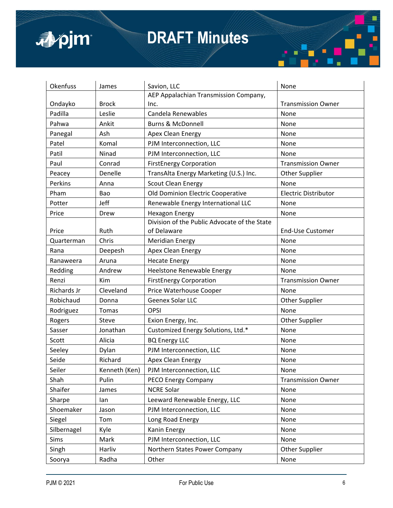

| Okenfuss    | James         | Savion, LLC                                  | None                        |
|-------------|---------------|----------------------------------------------|-----------------------------|
|             |               | AEP Appalachian Transmission Company,        |                             |
| Ondayko     | <b>Brock</b>  | Inc.                                         | <b>Transmission Owner</b>   |
| Padilla     | Leslie        | Candela Renewables                           | None                        |
| Pahwa       | Ankit         | <b>Burns &amp; McDonnell</b>                 | None                        |
| Panegal     | Ash           | Apex Clean Energy                            | None                        |
| Patel       | Komal         | PJM Interconnection, LLC                     | None                        |
| Patil       | Ninad         | PJM Interconnection, LLC                     | None                        |
| Paul        | Conrad        | <b>FirstEnergy Corporation</b>               | <b>Transmission Owner</b>   |
| Peacey      | Denelle       | TransAlta Energy Marketing (U.S.) Inc.       | <b>Other Supplier</b>       |
| Perkins     | Anna          | <b>Scout Clean Energy</b>                    | None                        |
| Pham        | Bao           | Old Dominion Electric Cooperative            | <b>Electric Distributor</b> |
| Potter      | Jeff          | Renewable Energy International LLC           | None                        |
| Price       | Drew          | <b>Hexagon Energy</b>                        | None                        |
|             |               | Division of the Public Advocate of the State |                             |
| Price       | Ruth          | of Delaware                                  | End-Use Customer            |
| Quarterman  | Chris         | <b>Meridian Energy</b>                       | None                        |
| Rana        | Deepesh       | Apex Clean Energy                            | None                        |
| Ranaweera   | Aruna         | <b>Hecate Energy</b>                         | None                        |
| Redding     | Andrew        | Heelstone Renewable Energy                   | None                        |
| Renzi       | Kim           | <b>FirstEnergy Corporation</b>               | <b>Transmission Owner</b>   |
| Richards Jr | Cleveland     | Price Waterhouse Cooper                      | None                        |
| Robichaud   | Donna         | Geenex Solar LLC                             | Other Supplier              |
| Rodriguez   | Tomas         | <b>OPSI</b>                                  | None                        |
| Rogers      | Steve         | Exion Energy, Inc.                           | Other Supplier              |
| Sasser      | Jonathan      | Customized Energy Solutions, Ltd.*           | None                        |
| Scott       | Alicia        | <b>BQ Energy LLC</b>                         | None                        |
| Seeley      | Dylan         | PJM Interconnection, LLC                     | None                        |
| Seide       | Richard       | Apex Clean Energy                            | None                        |
| Seiler      | Kenneth (Ken) | PJM Interconnection, LLC                     | None                        |
| Shah        | Pulin         | PECO Energy Company                          | <b>Transmission Owner</b>   |
| Shaifer     | James         | <b>NCRE Solar</b>                            | None                        |
| Sharpe      | lan           | Leeward Renewable Energy, LLC                | None                        |
| Shoemaker   | Jason         | PJM Interconnection, LLC                     | None                        |
| Siegel      | Tom           | Long Road Energy                             | None                        |
| Silbernagel | Kyle          | Kanin Energy                                 | None                        |
| Sims        | Mark          | PJM Interconnection, LLC                     | None                        |
| Singh       | Harliv        | Northern States Power Company                | Other Supplier              |
| Soorya      | Radha         | Other                                        | None                        |

п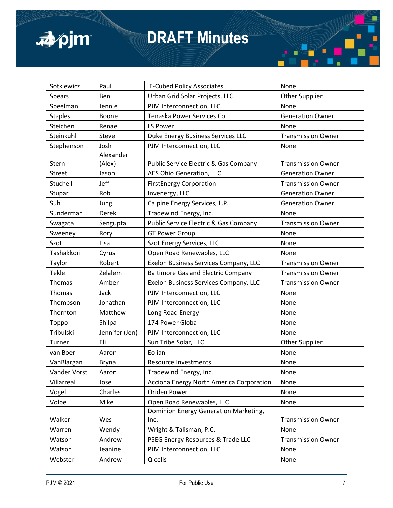

| Sotkiewicz     | Paul           | <b>E-Cubed Policy Associates</b>          | None                      |
|----------------|----------------|-------------------------------------------|---------------------------|
| <b>Spears</b>  | <b>Ben</b>     | Urban Grid Solar Projects, LLC            | Other Supplier            |
| Speelman       | Jennie         | PJM Interconnection, LLC                  | None                      |
| <b>Staples</b> | Boone          | Tenaska Power Services Co.                | <b>Generation Owner</b>   |
| Steichen       | Renae          | LS Power                                  | None                      |
| Steinkuhl      | Steve          | Duke Energy Business Services LLC         | <b>Transmission Owner</b> |
| Stephenson     | Josh           | PJM Interconnection, LLC                  | None                      |
|                | Alexander      |                                           |                           |
| Stern          | (Alex)         | Public Service Electric & Gas Company     | <b>Transmission Owner</b> |
| <b>Street</b>  | Jason          | AES Ohio Generation, LLC                  | <b>Generation Owner</b>   |
| Stuchell       | Jeff           | <b>FirstEnergy Corporation</b>            | <b>Transmission Owner</b> |
| Stupar         | Rob            | Invenergy, LLC                            | <b>Generation Owner</b>   |
| Suh            | Jung           | Calpine Energy Services, L.P.             | <b>Generation Owner</b>   |
| Sunderman      | Derek          | Tradewind Energy, Inc.                    | None                      |
| Swagata        | Sengupta       | Public Service Electric & Gas Company     | <b>Transmission Owner</b> |
| Sweeney        | Rory           | <b>GT Power Group</b>                     | None                      |
| Szot           | Lisa           | Szot Energy Services, LLC                 | None                      |
| Tashakkori     | Cyrus          | Open Road Renewables, LLC                 | None                      |
| Taylor         | Robert         | Exelon Business Services Company, LLC     | <b>Transmission Owner</b> |
| <b>Tekle</b>   | Zelalem        | <b>Baltimore Gas and Electric Company</b> | <b>Transmission Owner</b> |
| Thomas         | Amber          | Exelon Business Services Company, LLC     | <b>Transmission Owner</b> |
| Thomas         | Jack           | PJM Interconnection, LLC                  | None                      |
| Thompson       | Jonathan       | PJM Interconnection, LLC                  | None                      |
| Thornton       | Matthew        | Long Road Energy                          | None                      |
| Toppo          | Shilpa         | 174 Power Global                          | None                      |
| Tribulski      | Jennifer (Jen) | PJM Interconnection, LLC                  | None                      |
| Turner         | Eli            | Sun Tribe Solar, LLC                      | Other Supplier            |
| van Boer       | Aaron          | Eolian                                    | None                      |
| VanBlargan     | Bryna          | Resource Investments                      | None                      |
| Vander Vorst   | Aaron          | Tradewind Energy, Inc.                    | None                      |
| Villarreal     | Jose           | Acciona Energy North America Corporation  | None                      |
| Vogel          | Charles        | Oriden Power                              | None                      |
| Volpe          | Mike           | Open Road Renewables, LLC                 | None                      |
|                |                | Dominion Energy Generation Marketing,     |                           |
| Walker         | Wes            | Inc.                                      | <b>Transmission Owner</b> |
| Warren         | Wendy          | Wright & Talisman, P.C.                   | None                      |
| Watson         | Andrew         | PSEG Energy Resources & Trade LLC         | <b>Transmission Owner</b> |
| Watson         | Jeanine        | PJM Interconnection, LLC                  | None                      |
| Webster        | Andrew         | Q cells                                   | None                      |

п